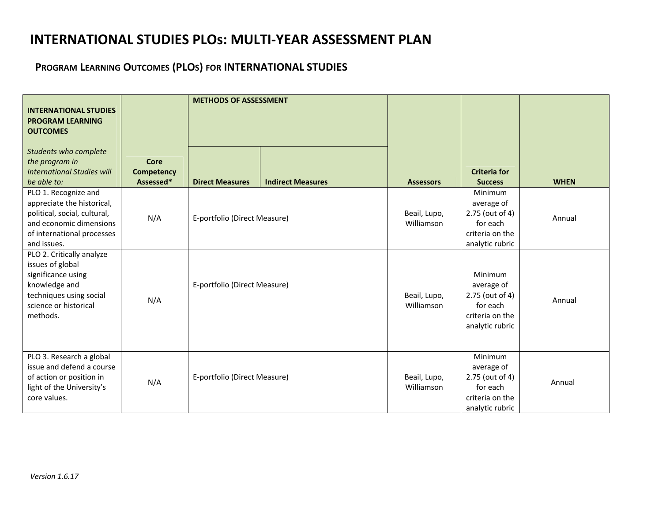## **INTERNATIONAL STUDIES PLOs: MULTI‐YEAR ASSESSMENT PLAN**

## **PROGRAM LEARNING OUTCOMES (PLOS) FOR INTERNATIONAL STUDIES**

| <b>INTERNATIONAL STUDIES</b><br><b>PROGRAM LEARNING</b><br><b>OUTCOMES</b>                                                                                 |                                        | <b>METHODS OF ASSESSMENT</b> |                          |                            |                                                                                                   |             |
|------------------------------------------------------------------------------------------------------------------------------------------------------------|----------------------------------------|------------------------------|--------------------------|----------------------------|---------------------------------------------------------------------------------------------------|-------------|
| Students who complete<br>the program in<br><b>International Studies will</b><br>be able to:                                                                | Core<br><b>Competency</b><br>Assessed* | <b>Direct Measures</b>       | <b>Indirect Measures</b> | <b>Assessors</b>           | <b>Criteria for</b><br><b>Success</b>                                                             | <b>WHEN</b> |
| PLO 1. Recognize and<br>appreciate the historical,<br>political, social, cultural,<br>and economic dimensions<br>of international processes<br>and issues. | N/A                                    | E-portfolio (Direct Measure) |                          | Beail, Lupo,<br>Williamson | <b>Minimum</b><br>average of<br>2.75 (out of 4)<br>for each<br>criteria on the<br>analytic rubric | Annual      |
| PLO 2. Critically analyze<br>issues of global<br>significance using<br>knowledge and<br>techniques using social<br>science or historical<br>methods.       | N/A                                    | E-portfolio (Direct Measure) |                          | Beail, Lupo,<br>Williamson | Minimum<br>average of<br>2.75 (out of 4)<br>for each<br>criteria on the<br>analytic rubric        | Annual      |
| PLO 3. Research a global<br>issue and defend a course<br>of action or position in<br>light of the University's<br>core values.                             | N/A                                    | E-portfolio (Direct Measure) |                          | Beail, Lupo,<br>Williamson | Minimum<br>average of<br>2.75 (out of 4)<br>for each<br>criteria on the<br>analytic rubric        | Annual      |